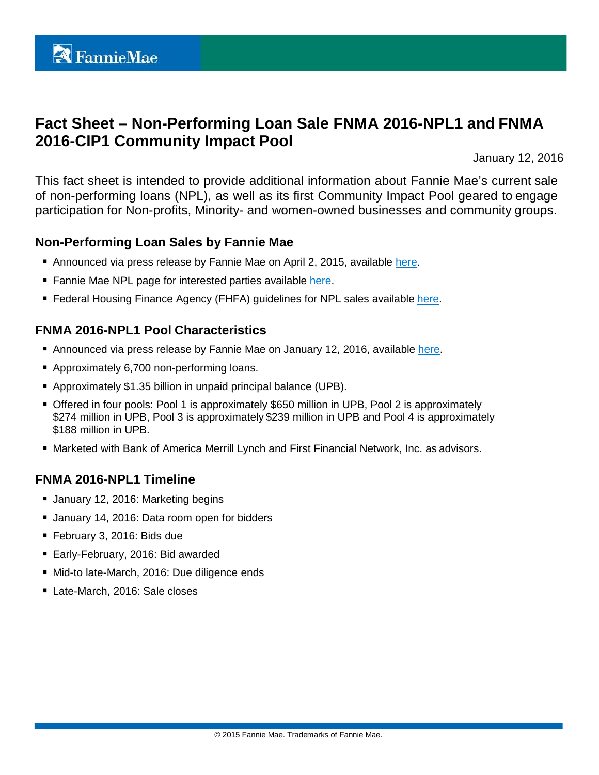# **Fact Sheet – Non-Performing Loan Sale FNMA 2016-NPL1 and FNMA 2016-CIP1 Community Impact Pool**

January 12, 2016

This fact sheet is intended to provide additional information about Fannie Mae's current sale of non-performing loans (NPL), as well as its first Community Impact Pool geared to engage participation for Non-profits, Minority- and women-owned businesses and community groups.

## **Non-Performing Loan Sales by Fannie Mae**

- Announced via press release by Fannie Mae on April 2, 2015, available [here.](http://www.fanniemae.com/portal/about-us/media/financial-news/2015/6233.html)
- Fannie Mae NPL page for interested parties available [here.](http://www.fanniemae.com/portal/funding-the-market/npl/index.html)
- **Federal Housing Finance Agency (FHFA) quidelines for NPL sales available [here.](http://www.fhfa.gov/Media/PublicAffairs/Pages/Non-Performing-Loan-%28NPL%29-Sale-Requirements.aspx)**

## **FNMA 2016-NPL1 Pool Characteristics**

- Announced via press release by Fannie Mae on January 12, 2016, available [here.](http://www.fanniemae.com/portal/about-us/media/financial-news/2016/6337.html)
- Approximately 6,700 non-performing loans.
- Approximately \$1.35 billion in unpaid principal balance (UPB).
- Offered in four pools: Pool 1 is approximately \$650 million in UPB, Pool 2 is approximately \$274 million in UPB, Pool 3 is approximately \$239 million in UPB and Pool 4 is approximately \$188 million in UPB.
- **Marketed with Bank of America Merrill Lynch and First Financial Network, Inc. as advisors.**

## **FNMA 2016-NPL1 Timeline**

- **January 12, 2016: Marketing begins**
- **January 14, 2016: Data room open for bidders**
- February 3, 2016: Bids due
- Early-February, 2016: Bid awarded
- Mid-to late-March, 2016: Due diligence ends
- Late-March, 2016: Sale closes